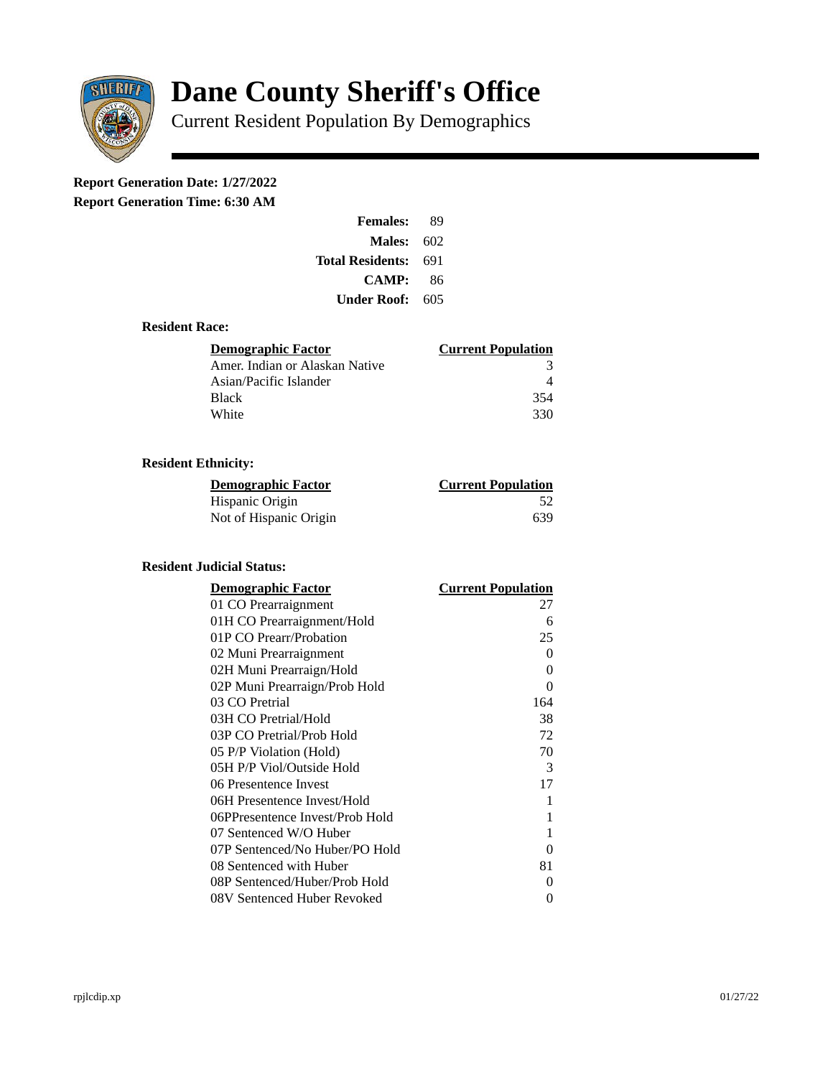

# **Dane County Sheriff's Office**

Current Resident Population By Demographics

# **Report Generation Date: 1/27/2022**

**Report Generation Time: 6:30 AM** 

| <b>Females:</b>  | 89   |
|------------------|------|
| Males:           | -602 |
| Total Residents: | 691  |
| <b>CAMP:</b>     | 86   |
| Under Roof: \    | 605  |

### **Resident Race:**

| <b>Demographic Factor</b>      | <b>Current Population</b> |
|--------------------------------|---------------------------|
| Amer. Indian or Alaskan Native |                           |
| Asian/Pacific Islander         |                           |
| <b>Black</b>                   | 354                       |
| White                          | 330                       |

# **Resident Ethnicity:**

| <u>Demographic Factor</u> | <b>Current Population</b> |
|---------------------------|---------------------------|
| Hispanic Origin           | -52                       |
| Not of Hispanic Origin    | 639                       |

#### **Resident Judicial Status:**

| <b>Demographic Factor</b>       | <b>Current Population</b> |
|---------------------------------|---------------------------|
| 01 CO Prearraignment            | 27                        |
| 01H CO Prearraignment/Hold      | 6                         |
| 01P CO Prearr/Probation         | 25                        |
| 02 Muni Prearraignment          | 0                         |
| 02H Muni Prearraign/Hold        | 0                         |
| 02P Muni Prearraign/Prob Hold   | 0                         |
| 03 CO Pretrial                  | 164                       |
| 03H CO Pretrial/Hold            | 38                        |
| 03P CO Pretrial/Prob Hold       | 72                        |
| 05 P/P Violation (Hold)         | 70                        |
| 05H P/P Viol/Outside Hold       | 3                         |
| 06 Presentence Invest           | 17                        |
| 06H Presentence Invest/Hold     | 1                         |
| 06PPresentence Invest/Prob Hold | 1                         |
| 07 Sentenced W/O Huber          | 1                         |
| 07P Sentenced/No Huber/PO Hold  | 0                         |
| 08 Sentenced with Huber         | 81                        |
| 08P Sentenced/Huber/Prob Hold   | 0                         |
| 08V Sentenced Huber Revoked     | 0                         |